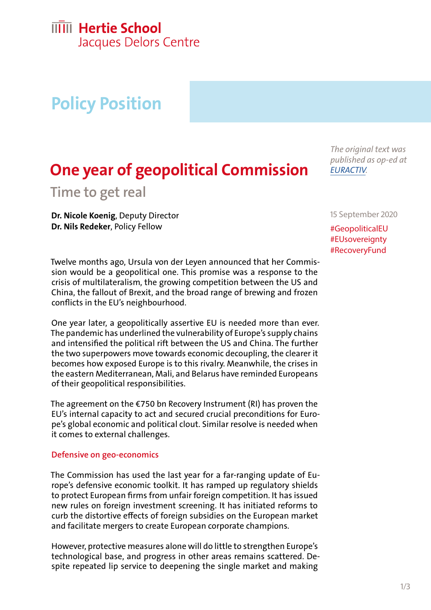# **IIIII** Hertie School

Jacques Delors Centre

# **Policy Position**

### **One year of geopolitical Commission**

**Time to get real** 

**Dr. Nicole Koenig**, Deputy Director **Dr. Nils Redeker**, Policy Fellow

Twelve months ago, Ursula von der Leyen announced that her Commission would be a geopolitical one. This promise was a response to the crisis of multilateralism, the growing competition between the US and China, the fallout of Brexit, and the broad range of brewing and frozen conflicts in the EU's neighbourhood.

One year later, a geopolitically assertive EU is needed more than ever. The pandemic has underlined the vulnerability of Europe's supply chains and intensified the political rift between the US and China. The further the two superpowers move towards economic decoupling, the clearer it becomes how exposed Europe is to this rivalry. Meanwhile, the crises in the eastern Mediterranean, Mali, and Belarus have reminded Europeans of their geopolitical responsibilities.

The agreement on the  $\epsilon$ 750 bn Recovery Instrument (RI) has proven the EU's internal capacity to act and secured crucial preconditions for Europe's global economic and political clout. Similar resolve is needed when it comes to external challenges.

#### **Defensive on geo-economics**

The Commission has used the last year for a far-ranging update of Europe's defensive economic toolkit. It has ramped up regulatory shields to protect European firms from unfair foreign competition. It has issued new rules on foreign investment screening. It has initiated reforms to curb the distortive effects of foreign subsidies on the European market and facilitate mergers to create European corporate champions.

However, protective measures alone will do little to strengthen Europe's technological base, and progress in other areas remains scattered. Despite repeated lip service to deepening the single market and making

*The original text was published as op-ed at [EURACTIV](https://www.euractiv.com/section/eu-priorities-2020/opinion/after-one-year-of-the-geopolitical-commission-its-time-to-get-real/).* 

15 September 2020

#GeopoliticalEU #EUsovereignty #RecoveryFund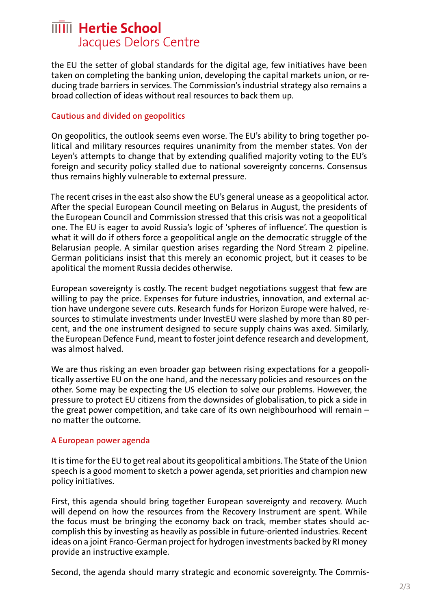### **IIIII** Hertie School Jacques Delors Centre

the EU the setter of global standards for the digital age, few initiatives have been taken on completing the banking union, developing the capital markets union, or reducing trade barriers in services. The Commission's industrial strategy also remains a broad collection of ideas without real resources to back them up.

### **Cautious and divided on geopolitics**

On geopolitics, the outlook seems even worse. The EU's ability to bring together political and military resources requires unanimity from the member states. Von der Leyen's attempts to change that by extending qualified majority voting to the EU's foreign and security policy stalled due to national sovereignty concerns. Consensus thus remains highly vulnerable to external pressure.

The recent crises in the east also show the EU's general unease as a geopolitical actor. After the special European Council meeting on Belarus in August, the presidents of the European Council and Commission stressed that this crisis was not a geopolitical one. The EU is eager to avoid Russia's logic of 'spheres of influence'. The question is what it will do if others force a geopolitical angle on the democratic struggle of the Belarusian people. A similar question arises regarding the Nord Stream 2 pipeline. German politicians insist that this merely an economic project, but it ceases to be apolitical the moment Russia decides otherwise.

European sovereignty is costly. The recent budget negotiations suggest that few are willing to pay the price. Expenses for future industries, innovation, and external action have undergone severe cuts. Research funds for Horizon Europe were halved, resources to stimulate investments under InvestEU were slashed by more than 80 percent, and the one instrument designed to secure supply chains was axed. Similarly, the European Defence Fund, meant to foster joint defence research and development, was almost halved.

We are thus risking an even broader gap between rising expectations for a geopolitically assertive EU on the one hand, and the necessary policies and resources on the other. Some may be expecting the US election to solve our problems. However, the pressure to protect EU citizens from the downsides of globalisation, to pick a side in the great power competition, and take care of its own neighbourhood will remain – no matter the outcome.

#### **A European power agenda**

It is time for the EU to get real about its geopolitical ambitions. The State of the Union speech is a good moment to sketch a power agenda, set priorities and champion new policy initiatives.

First, this agenda should bring together European sovereignty and recovery. Much will depend on how the resources from the Recovery Instrument are spent. While the focus must be bringing the economy back on track, member states should accomplish this by investing as heavily as possible in future-oriented industries. Recent ideas on a joint Franco-German project for hydrogen investments backed by RI money provide an instructive example.

Second, the agenda should marry strategic and economic sovereignty. The Commis-